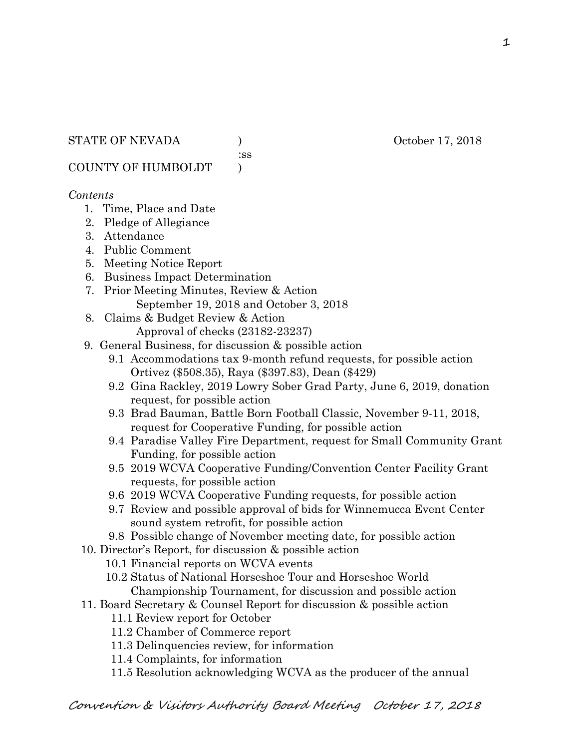:ss

COUNTY OF HUMBOLDT )

### *Contents*

- 1. Time, Place and Date
- 2. Pledge of Allegiance
- 3. Attendance
- 4. Public Comment
- 5. Meeting Notice Report
- 6. Business Impact Determination
- 7. Prior Meeting Minutes, Review & Action September 19, 2018 and October 3, 2018
- 8. Claims & Budget Review & Action
	- Approval of checks (23182-23237)
- 9. General Business, for discussion & possible action
	- 9.1 Accommodations tax 9-month refund requests, for possible action Ortivez (\$508.35), Raya (\$397.83), Dean (\$429)
	- 9.2 Gina Rackley, 2019 Lowry Sober Grad Party, June 6, 2019, donation request, for possible action
	- 9.3 Brad Bauman, Battle Born Football Classic, November 9-11, 2018, request for Cooperative Funding, for possible action
	- 9.4 Paradise Valley Fire Department, request for Small Community Grant Funding, for possible action
	- 9.5 2019 WCVA Cooperative Funding/Convention Center Facility Grant requests, for possible action
	- 9.6 2019 WCVA Cooperative Funding requests, for possible action
	- 9.7 Review and possible approval of bids for Winnemucca Event Center sound system retrofit, for possible action
	- 9.8 Possible change of November meeting date, for possible action
- 10. Director's Report, for discussion & possible action
	- 10.1 Financial reports on WCVA events
	- 10.2 Status of National Horseshoe Tour and Horseshoe World Championship Tournament, for discussion and possible action
- 11. Board Secretary & Counsel Report for discussion & possible action
	- 11.1 Review report for October
	- 11.2 Chamber of Commerce report
	- 11.3 Delinquencies review, for information
	- 11.4 Complaints, for information
	- 11.5 Resolution acknowledging WCVA as the producer of the annual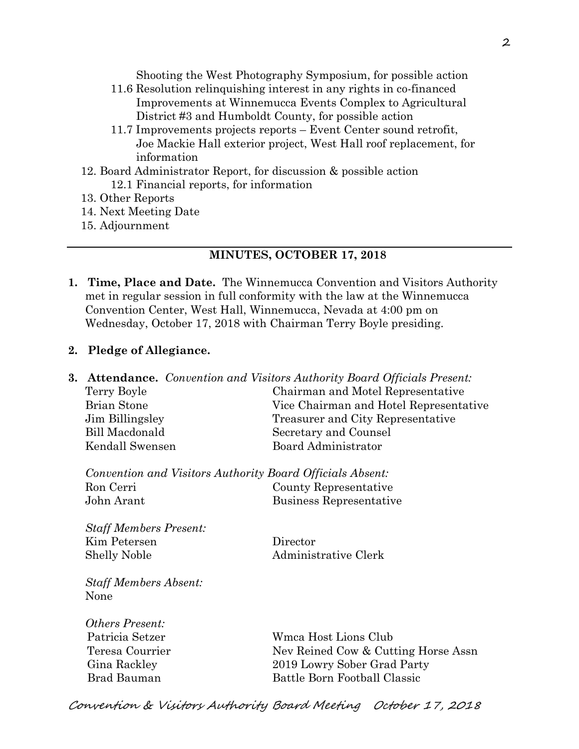Shooting the West Photography Symposium, for possible action

- 11.6 Resolution relinquishing interest in any rights in co-financed Improvements at Winnemucca Events Complex to Agricultural District #3 and Humboldt County, for possible action
- 11.7 Improvements projects reports Event Center sound retrofit, Joe Mackie Hall exterior project, West Hall roof replacement, for information
- 12. Board Administrator Report, for discussion & possible action 12.1 Financial reports, for information
- 13. Other Reports
- 14. Next Meeting Date
- 15. Adjournment

### **MINUTES, OCTOBER 17, 2018**

**1. Time, Place and Date.** The Winnemucca Convention and Visitors Authority met in regular session in full conformity with the law at the Winnemucca Convention Center, West Hall, Winnemucca, Nevada at 4:00 pm on Wednesday, October 17, 2018 with Chairman Terry Boyle presiding.

### **2. Pledge of Allegiance.**

**3. Attendance.** *Convention and Visitors Authority Board Officials Present:*  Terry Boyle Chairman and Motel Representative Brian Stone Vice Chairman and Hotel Representative Jim Billingsley Treasurer and City Representative Bill Macdonald Secretary and Counsel Kendall Swensen Board Administrator

*Convention and Visitors Authority Board Officials Absent:*  Ron Cerri County Representative John Arant Business Representative

*Staff Members Present:*  Kim Petersen Director Shelly Noble Administrative Clerk

*Staff Members Absent:*  None

*Others Present:* 

 Patricia Setzer Wmca Host Lions Club Teresa Courrier Nev Reined Cow & Cutting Horse Assn Gina Rackley 2019 Lowry Sober Grad Party Brad Bauman Battle Born Football Classic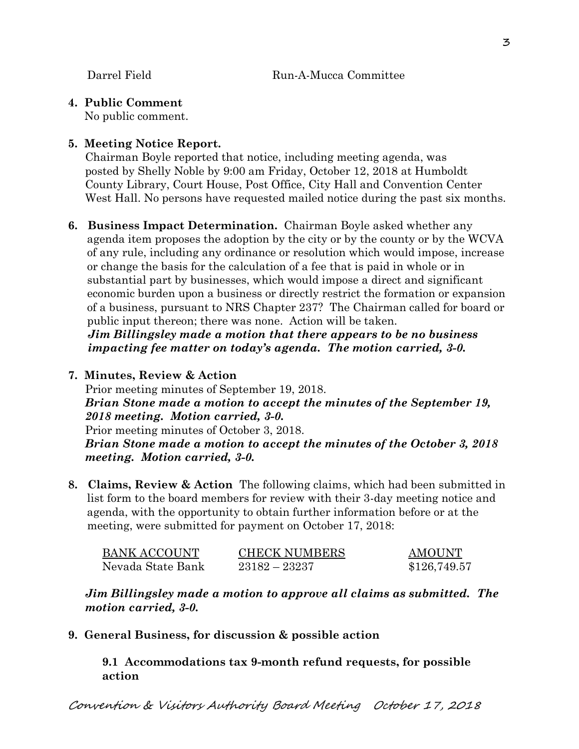**4. Public Comment** 

No public comment.

## **5. Meeting Notice Report.**

Chairman Boyle reported that notice, including meeting agenda, was posted by Shelly Noble by 9:00 am Friday, October 12, 2018 at Humboldt County Library, Court House, Post Office, City Hall and Convention Center West Hall. No persons have requested mailed notice during the past six months.

**6. Business Impact Determination.** Chairman Boyle asked whether any agenda item proposes the adoption by the city or by the county or by the WCVA of any rule, including any ordinance or resolution which would impose, increase or change the basis for the calculation of a fee that is paid in whole or in substantial part by businesses, which would impose a direct and significant economic burden upon a business or directly restrict the formation or expansion of a business, pursuant to NRS Chapter 237? The Chairman called for board or public input thereon; there was none. Action will be taken.

 *Jim Billingsley made a motion that there appears to be no business impacting fee matter on today's agenda. The motion carried, 3-0.* 

**7. Minutes, Review & Action** 

Prior meeting minutes of September 19, 2018. *Brian Stone made a motion to accept the minutes of the September 19, 2018 meeting. Motion carried, 3-0.*  Prior meeting minutes of October 3, 2018. *Brian Stone made a motion to accept the minutes of the October 3, 2018 meeting. Motion carried, 3-0.*

**8. Claims, Review & Action** The following claims, which had been submitted in list form to the board members for review with their 3-day meeting notice and agenda, with the opportunity to obtain further information before or at the meeting, were submitted for payment on October 17, 2018:

| <b>BANK ACCOUNT</b> | <b>CHECK NUMBERS</b> | <b>AMOUNT</b> |
|---------------------|----------------------|---------------|
| Nevada State Bank   | $23182 - 23237$      | \$126,749.57  |

*Jim Billingsley made a motion to approve all claims as submitted. The motion carried, 3-0.* 

**9. General Business, for discussion & possible action**

**9.1 Accommodations tax 9-month refund requests, for possible action**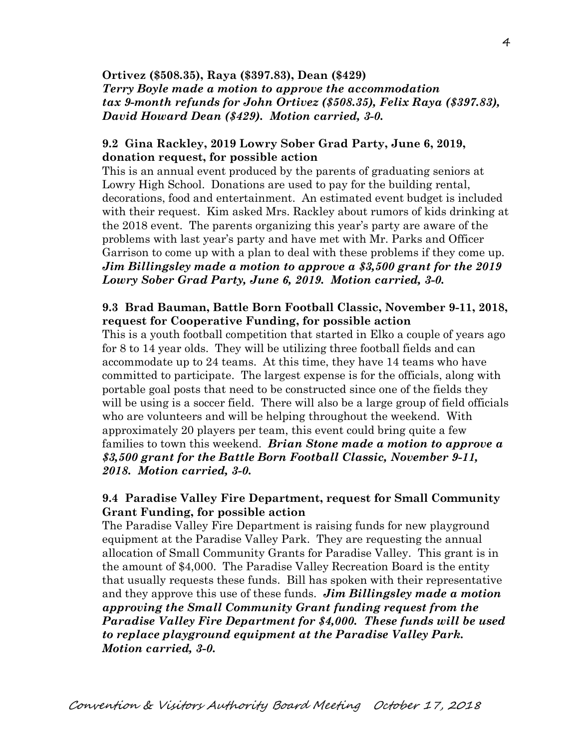**Ortivez (\$508.35), Raya (\$397.83), Dean (\$429)**  *Terry Boyle made a motion to approve the accommodation tax 9-month refunds for John Ortivez (\$508.35), Felix Raya (\$397.83), David Howard Dean (\$429). Motion carried, 3-0.*

#### **9.2 Gina Rackley, 2019 Lowry Sober Grad Party, June 6, 2019, donation request, for possible action**

This is an annual event produced by the parents of graduating seniors at Lowry High School. Donations are used to pay for the building rental, decorations, food and entertainment. An estimated event budget is included with their request. Kim asked Mrs. Rackley about rumors of kids drinking at the 2018 event. The parents organizing this year's party are aware of the problems with last year's party and have met with Mr. Parks and Officer Garrison to come up with a plan to deal with these problems if they come up. *Jim Billingsley made a motion to approve a \$3,500 grant for the 2019 Lowry Sober Grad Party, June 6, 2019. Motion carried, 3-0.* 

#### **9.3 Brad Bauman, Battle Born Football Classic, November 9-11, 2018, request for Cooperative Funding, for possible action**

This is a youth football competition that started in Elko a couple of years ago for 8 to 14 year olds. They will be utilizing three football fields and can accommodate up to 24 teams. At this time, they have 14 teams who have committed to participate. The largest expense is for the officials, along with portable goal posts that need to be constructed since one of the fields they will be using is a soccer field. There will also be a large group of field officials who are volunteers and will be helping throughout the weekend. With approximately 20 players per team, this event could bring quite a few families to town this weekend. *Brian Stone made a motion to approve a \$3,500 grant for the Battle Born Football Classic, November 9-11, 2018. Motion carried, 3-0.* 

#### **9.4 Paradise Valley Fire Department, request for Small Community Grant Funding, for possible action**

The Paradise Valley Fire Department is raising funds for new playground equipment at the Paradise Valley Park. They are requesting the annual allocation of Small Community Grants for Paradise Valley. This grant is in the amount of \$4,000. The Paradise Valley Recreation Board is the entity that usually requests these funds. Bill has spoken with their representative and they approve this use of these funds. *Jim Billingsley made a motion approving the Small Community Grant funding request from the Paradise Valley Fire Department for \$4,000. These funds will be used to replace playground equipment at the Paradise Valley Park. Motion carried, 3-0.*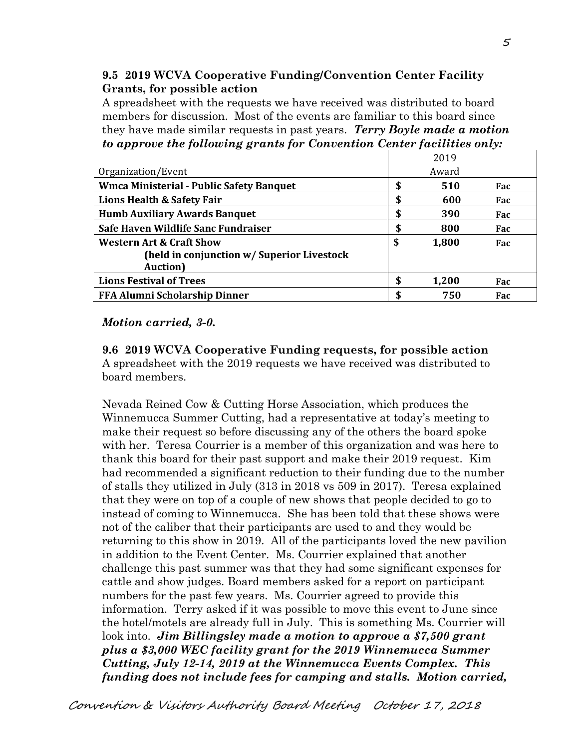## **9.5 2019 WCVA Cooperative Funding/Convention Center Facility Grants, for possible action**

A spreadsheet with the requests we have received was distributed to board members for discussion. Most of the events are familiar to this board since they have made similar requests in past years. *Terry Boyle made a motion to approve the following grants for Convention Center facilities only:* 

|                                                 |    | 2019  |     |
|-------------------------------------------------|----|-------|-----|
| Organization/Event                              |    | Award |     |
| <b>Wmca Ministerial - Public Safety Banquet</b> |    | 510   | Fac |
| Lions Health & Safety Fair                      | ۰D | 600   | Fac |
| <b>Humb Auxiliary Awards Banquet</b>            | ۰D | 390   | Fac |
| Safe Haven Wildlife Sanc Fundraiser             | ۰D | 800   | Fac |
| <b>Western Art &amp; Craft Show</b>             | \$ | 1,800 | Fac |
| (held in conjunction w/ Superior Livestock      |    |       |     |
| <b>Auction</b> )                                |    |       |     |
| <b>Lions Festival of Trees</b>                  | œ  | 1,200 | Fac |
| <b>FFA Alumni Scholarship Dinner</b>            |    | 750   | Fac |

#### *Motion carried, 3-0.*

**9.6 2019 WCVA Cooperative Funding requests, for possible action**  A spreadsheet with the 2019 requests we have received was distributed to board members.

Nevada Reined Cow & Cutting Horse Association, which produces the Winnemucca Summer Cutting, had a representative at today's meeting to make their request so before discussing any of the others the board spoke with her. Teresa Courrier is a member of this organization and was here to thank this board for their past support and make their 2019 request. Kim had recommended a significant reduction to their funding due to the number of stalls they utilized in July (313 in 2018 vs 509 in 2017). Teresa explained that they were on top of a couple of new shows that people decided to go to instead of coming to Winnemucca. She has been told that these shows were not of the caliber that their participants are used to and they would be returning to this show in 2019. All of the participants loved the new pavilion in addition to the Event Center. Ms. Courrier explained that another challenge this past summer was that they had some significant expenses for cattle and show judges. Board members asked for a report on participant numbers for the past few years. Ms. Courrier agreed to provide this information. Terry asked if it was possible to move this event to June since the hotel/motels are already full in July. This is something Ms. Courrier will look into. *Jim Billingsley made a motion to approve a \$7,500 grant plus a \$3,000 WEC facility grant for the 2019 Winnemucca Summer Cutting, July 12-14, 2019 at the Winnemucca Events Complex. This funding does not include fees for camping and stalls. Motion carried,*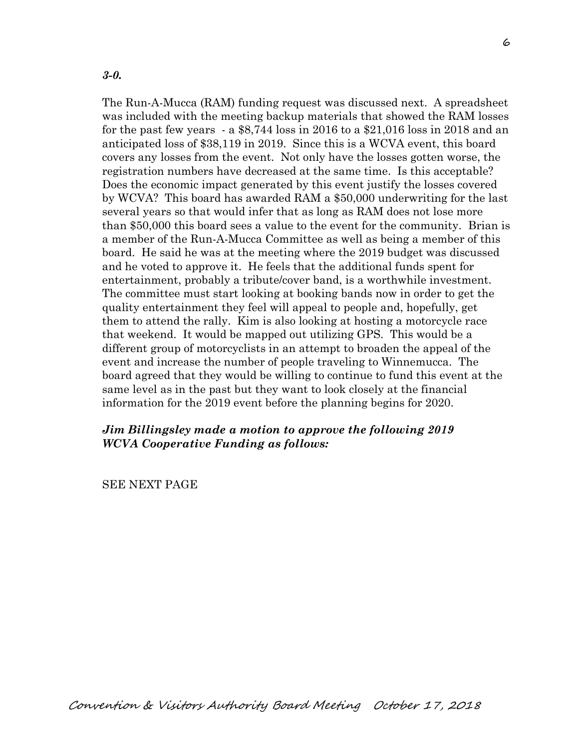*3-0.* 

The Run-A-Mucca (RAM) funding request was discussed next. A spreadsheet was included with the meeting backup materials that showed the RAM losses for the past few years - a \$8,744 loss in 2016 to a \$21,016 loss in 2018 and an anticipated loss of \$38,119 in 2019. Since this is a WCVA event, this board covers any losses from the event. Not only have the losses gotten worse, the registration numbers have decreased at the same time. Is this acceptable? Does the economic impact generated by this event justify the losses covered by WCVA? This board has awarded RAM a \$50,000 underwriting for the last several years so that would infer that as long as RAM does not lose more than \$50,000 this board sees a value to the event for the community. Brian is a member of the Run-A-Mucca Committee as well as being a member of this board. He said he was at the meeting where the 2019 budget was discussed and he voted to approve it. He feels that the additional funds spent for entertainment, probably a tribute/cover band, is a worthwhile investment. The committee must start looking at booking bands now in order to get the quality entertainment they feel will appeal to people and, hopefully, get them to attend the rally. Kim is also looking at hosting a motorcycle race that weekend. It would be mapped out utilizing GPS. This would be a different group of motorcyclists in an attempt to broaden the appeal of the event and increase the number of people traveling to Winnemucca. The board agreed that they would be willing to continue to fund this event at the same level as in the past but they want to look closely at the financial information for the 2019 event before the planning begins for 2020.

#### *Jim Billingsley made a motion to approve the following 2019 WCVA Cooperative Funding as follows:*

SEE NEXT PAGE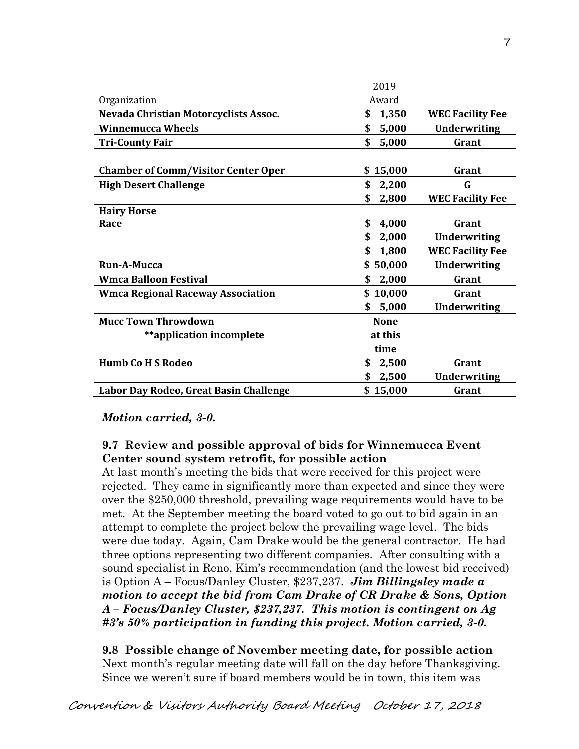|                                            | 2019        |                         |
|--------------------------------------------|-------------|-------------------------|
| Organization                               | Award       |                         |
| Nevada Christian Motorcyclists Assoc.      | \$<br>1,350 | <b>WEC Facility Fee</b> |
| <b>Winnemucca Wheels</b>                   | \$<br>5,000 | <b>Underwriting</b>     |
| <b>Tri-County Fair</b>                     | \$<br>5,000 | Grant                   |
|                                            |             |                         |
| <b>Chamber of Comm/Visitor Center Oper</b> | \$15,000    | Grant                   |
| <b>High Desert Challenge</b>               | \$<br>2,200 | G                       |
|                                            | \$<br>2,800 | <b>WEC Facility Fee</b> |
| <b>Hairy Horse</b>                         |             |                         |
| Race                                       | 4,000<br>\$ | Grant                   |
|                                            | \$<br>2,000 | <b>Underwriting</b>     |
|                                            | \$<br>1,800 | <b>WEC Facility Fee</b> |
| Run-A-Mucca                                | \$50,000    | <b>Underwriting</b>     |
| <b>Wmca Balloon Festival</b>               | \$<br>2,000 | Grant                   |
| <b>Wmca Regional Raceway Association</b>   | \$10,000    | Grant                   |
|                                            | 5,000<br>\$ | <b>Underwriting</b>     |
| <b>Mucc Town Throwdown</b>                 | <b>None</b> |                         |
| **application incomplete                   | at this     |                         |
|                                            | time        |                         |
| <b>Humb Co H S Rodeo</b>                   | \$<br>2,500 | Grant                   |
|                                            | 2,500<br>\$ | <b>Underwriting</b>     |
| Labor Day Rodeo, Great Basin Challenge     | \$15,000    | Grant                   |

*Motion carried, 3-0.* 

## **9.7 Review and possible approval of bids for Winnemucca Event Center sound system retrofit, for possible action**

At last month's meeting the bids that were received for this project were rejected. They came in significantly more than expected and since they were over the \$250,000 threshold, prevailing wage requirements would have to be met. At the September meeting the board voted to go out to bid again in an attempt to complete the project below the prevailing wage level. The bids were due today. Again, Cam Drake would be the general contractor. He had three options representing two different companies. After consulting with a sound specialist in Reno, Kim's recommendation (and the lowest bid received) is Option A – Focus/Danley Cluster, \$237,237. *Jim Billingsley made a motion to accept the bid from Cam Drake of CR Drake & Sons, Option A – Focus/Danley Cluster, \$237,237. This motion is contingent on Ag #3's 50% participation in funding this project. Motion carried, 3-0.* 

**9.8 Possible change of November meeting date, for possible action**  Next month's regular meeting date will fall on the day before Thanksgiving. Since we weren't sure if board members would be in town, this item was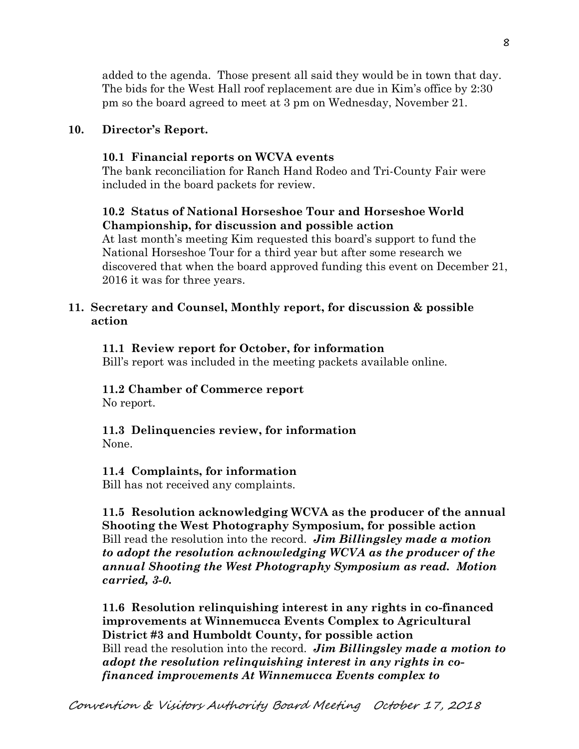added to the agenda. Those present all said they would be in town that day. The bids for the West Hall roof replacement are due in Kim's office by 2:30 pm so the board agreed to meet at 3 pm on Wednesday, November 21.

#### **10. Director's Report.**

#### **10.1 Financial reports on WCVA events**

The bank reconciliation for Ranch Hand Rodeo and Tri-County Fair were included in the board packets for review.

### **10.2 Status of National Horseshoe Tour and Horseshoe World Championship, for discussion and possible action**

At last month's meeting Kim requested this board's support to fund the National Horseshoe Tour for a third year but after some research we discovered that when the board approved funding this event on December 21, 2016 it was for three years.

#### **11. Secretary and Counsel, Monthly report, for discussion & possible action**

#### **11.1 Review report for October, for information**

Bill's report was included in the meeting packets available online.

#### **11.2 Chamber of Commerce report**

No report.

# **11.3 Delinquencies review, for information**

None.

#### **11.4 Complaints, for information**

Bill has not received any complaints.

**11.5 Resolution acknowledging WCVA as the producer of the annual Shooting the West Photography Symposium, for possible action**  Bill read the resolution into the record. *Jim Billingsley made a motion to adopt the resolution acknowledging WCVA as the producer of the annual Shooting the West Photography Symposium as read. Motion carried, 3-0.* 

**11.6 Resolution relinquishing interest in any rights in co-financed improvements at Winnemucca Events Complex to Agricultural District #3 and Humboldt County, for possible action**  Bill read the resolution into the record. *Jim Billingsley made a motion to adopt the resolution relinquishing interest in any rights in co financed improvements At Winnemucca Events complex to*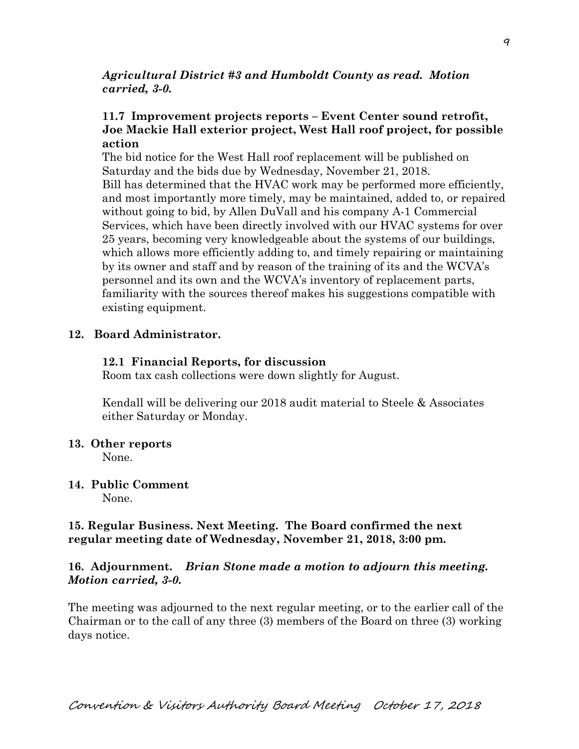#### *Agricultural District #3 and Humboldt County as read. Motion carried, 3-0.*

### **11.7 Improvement projects reports – Event Center sound retrofit, Joe Mackie Hall exterior project, West Hall roof project, for possible action**

The bid notice for the West Hall roof replacement will be published on Saturday and the bids due by Wednesday, November 21, 2018. Bill has determined that the HVAC work may be performed more efficiently, and most importantly more timely, may be maintained, added to, or repaired without going to bid, by Allen DuVall and his company A-1 Commercial Services, which have been directly involved with our HVAC systems for over 25 years, becoming very knowledgeable about the systems of our buildings, which allows more efficiently adding to, and timely repairing or maintaining by its owner and staff and by reason of the training of its and the WCVA's personnel and its own and the WCVA's inventory of replacement parts, familiarity with the sources thereof makes his suggestions compatible with existing equipment.

#### **12. Board Administrator.**

#### **12.1 Financial Reports, for discussion**

Room tax cash collections were down slightly for August.

Kendall will be delivering our 2018 audit material to Steele & Associates either Saturday or Monday.

#### **13. Other reports**

None.

# **14. Public Comment**

None.

## **15. Regular Business. Next Meeting. The Board confirmed the next regular meeting date of Wednesday, November 21, 2018, 3:00 pm.**

### **16. Adjournment.** *Brian Stone made a motion to adjourn this meeting. Motion carried, 3-0.*

The meeting was adjourned to the next regular meeting, or to the earlier call of the Chairman or to the call of any three (3) members of the Board on three (3) working days notice.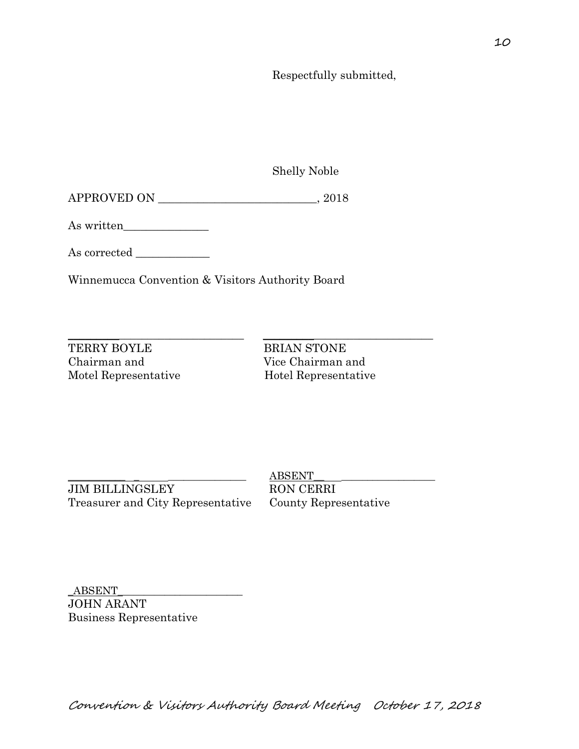Respectfully submitted,

Shelly Noble

APPROVED ON \_\_\_\_\_\_\_\_\_\_\_\_\_\_\_\_\_\_\_\_\_\_\_\_\_\_\_\_, 2018

As written\_\_\_\_\_\_\_\_\_\_\_\_\_\_\_

As corrected \_\_\_\_\_\_\_\_\_\_\_\_\_

Winnemucca Convention & Visitors Authority Board

TERRY BOYLE BRIAN STONE Chairman and Vice Chairman and Motel Representative Hotel Representative

 $\_$  ,  $\_$  ,  $\_$  ,  $\_$  ,  $\_$  ,  $\_$  ,  $\_$  ,  $\_$  ,  $\_$  ,  $\_$  ,  $\_$  ,  $\_$  ,  $\_$  ,  $\_$  ,  $\_$  ,  $\_$  ,  $\_$  ,  $\_$  ,  $\_$  ,  $\_$  ,  $\_$  ,  $\_$  ,  $\_$  ,  $\_$  ,  $\_$  ,  $\_$  ,  $\_$  ,  $\_$  ,  $\_$  ,  $\_$  ,  $\_$  ,  $\_$  ,  $\_$  ,  $\_$  ,  $\_$  ,  $\_$  ,  $\_$  ,

JIM BILLINGSLEY RON CERRI Treasurer and City Representative County Representative

 $ABSENT$ 

 ${\bf ABSENT}$ JOHN ARANT Business Representative